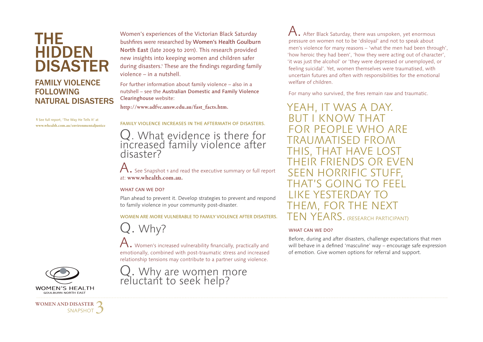## THE HIDDEN DISASTER

### **FAMILY VIOLENCE FOLLOWING** NATURAL DISASTERS

**1** See full report, 'The Way He Tells It' at **www.whealth.com.au/environmentaljustice** Women's experiences of the Victorian Black Saturday bushfires were researched by Women's Health Goulburn North East (late 2009 to 2011). This research provided new insights into keeping women and children safer during disasters.1 These are the findings regarding family violence – in a nutshell.

For further information about family violence – also in a nutshell – see the Australian Domestic and Family Violence Clearinghouse website:

**http://www.adfvc.unsw.edu.au/fast\_facts.htm.**

FAMILY VIOLENCE INCREASES IN THE AFTERMATH OF DISASTERS.

Q. What evidence is there for increased family violence after disaster?

 $\bigwedge$ . See Snapshot 1 and read the executive summary or full report at: **www.whealth.com.au.**

#### WHAT CAN WE DO?

Plan ahead to prevent it. Develop strategies to prevent and respond to family violence in your community post-disaster.

WOMEN ARE MORE VULNERABLE TO FAMILY VIOLENCE AFTER DISASTERS.

Q. Why?



A. Women's increased vulnerability financially, practically and emotionally, combined with post-traumatic stress and increased relationship tensions may contribute to a partner using violence.



 $\bigwedge$  . After Black Saturday, there was unspoken, yet enormous pressure on women not to be 'disloyal' and not to speak about men's violence for many reasons – 'what the men had been through', 'how heroic they had been', 'how they were acting out of character', 'it was just the alcohol' or 'they were depressed or unemployed, or feeling suicidal'. Yet, women themselves were traumatised, with uncertain futures and often with responsibilities for the emotional welfare of children.

For many who survived, the fires remain raw and traumatic.

YEAH, IT WAS A DAY. BUT I KNOW THAT FOR PEOPLE WHO ARE TRAUMATISED FROM THIS, THAT HAVE LOST THEIR FRIENDS OR EVEN SEEN HORRIFIC STUFF,  $GOMG$ LIKE YESTERDAY THEM, FOR THE NEXT TEN YEARS. (RESEARCH PARTICIPANT)

#### WHAT CAN WE DO?

Before, during and after disasters, challenge expectations that men will behave in a defined 'masculine' way – encourage safe expression of emotion. Give women options for referral and support.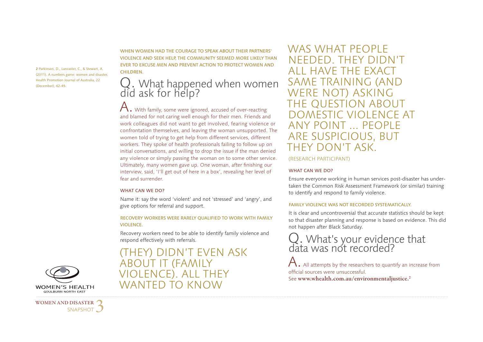**2** Parkinson, D., Lancaster, C., & Stewart, A. (2011). A numbers game: women and disaster. Health Promotion Journal of Australia, 22 (December), 42-45.

WHEN WOMEN HAD THE COURAGE TO SPEAK ABOUT THEIR PARTNERS' VIOLENCE AND SEEK HELP, THE COMMUNITY SEEMED MORE LIKELY THAN EVER TO EXCUSE MEN AND PREVENT ACTION TO PROTECT WOMEN AND **CHILDREN.** 

# Q. What happened when women did ask for help?

 $A.$  With family, some were ignored, accused of over-reacting and blamed for not caring well enough for their men. Friends and work colleagues did not want to get involved, fearing violence or confrontation themselves, and leaving the woman unsupported. The women told of trying to get help from different services, different workers. They spoke of health professionals failing to follow up on initial conversations, and willing to drop the issue if the man denied any violence or simply passing the woman on to some other service. Ultimately, many women gave up. One woman, after finishing our interview, said, 'I'll get out of here in a box', revealing her level of fear and surrender.

#### WHAT CAN WE DO?

Name it: say the word 'violent' and not 'stressed' and 'angry', and give options for referral and support.

#### RECOVERY WORKERS WERE RARELY QUALIFIED TO WORK WITH FAMILY VIOLENCE.

Recovery workers need to be able to identify family violence and respond effectively with referrals.

(THEY) DIDN'T EVEN ASK ABOUT IT (FAMILY IF) ALL THEY WANTED TO KNOW

WAS WHAT PFOPLE NEEDED. THEY DIDN'T ALL HAVE THE EXACT SAME TRAINING (AND WERE NOT) ASKING THE QUESTION ABOUT DOMESTIC VIOLENCE AT ANY POINT ... PEOPLE ARE SUSPICIOUS, BUT THEY DON'T ASK.

#### (RESEARCH PARTICIPANT)

#### WHAT CAN WE DO?

Ensure everyone working in human services post-disaster has undertaken the Common Risk Assessment Framework (or similar) training to identify and respond to family violence.

#### FAMILY VIOLENCE WAS NOT RECORDED SYSTEMATICALLY.

It is clear and uncontroversial that accurate statistics should be kept so that disaster planning and response is based on evidence. This did not happen after Black Saturday.

# Q. What's your evidence that data was not recorded?

All attempts by the researchers to quantify an increase from official sources were unsuccessful. See **www.whealth.com.au/environmentaljustice.2**



**WOMEN AND DISASTER**  SNAPSHOT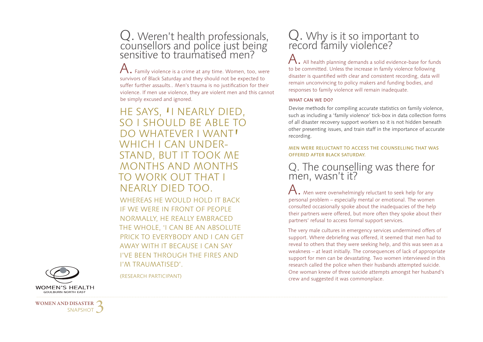# Q. Weren't health professionals, counsellors and police just being sensitive to traumatised men?

A. Family violence is a crime at any time. Women, too, were survivors of Black Saturday and they should not be expected to suffer further assaults.. Men's trauma is no justification for their violence. If men use violence, they are violent men and this cannot be simply excused and ignored.

HE SAYS, "I NEARLY DIED,<br>SO I SHOULD BE ABLE TO SO I SHOULD BE ABLE TO DO WHATEVER I WANT!<br>WHICH I CAN UNDER-WHICH I CAN UNDER- STAND, BUT IT TOOK ME MONTHS AND MONTHS TO WORK OUT THAT I NEARLY DIED TOO.

WHEREAS HE WOULD HOLD IT BACK IF WE WERE IN FRONT OF PEOPLE NORMALLY, HE REALLY EMBRACED THE WHOLE, 'I CAN BE AN ABSOLUTE PRICK TO EVERYBODY AND I CAN GET AWAY WITH IT BECAUSE I CAN SAY I'VE BEEN THROUGH THE FIRES AND I'M TRAUMATISED'.

# Q. Why is it so important to record family violence?

 $\mathsf A$  . All health planning demands a solid evidence-base for funds to be committed. Unless the increase in family violence following disaster is quantified with clear and consistent recording, data will remain unconvincing to policy makers and funding bodies, and responses to family violence will remain inadequate.

#### WHAT CAN WE DO?

Devise methods for compiling accurate statistics on family violence, such as including a 'family violence' tick-box in data collection forms of all disaster recovery support workers so it is not hidden beneath other presenting issues, and train staff in the importance of accurate recording.

#### MEN WERE RELUCTANT TO ACCESS THE COUNSELLING THAT WAS OFFERED AFTER BLACK SATURDAY.

### Q. The counselling was there for men, wasn't it?

 ${\mathsf A}.$  Men were overwhelmingly reluctant to seek help for any personal problem – especially mental or emotional. The women consulted occasionally spoke about the inadequacies of the help their partners were offered, but more often they spoke about their partners' refusal to access formal support services.

The very male cultures in emergency services undermined offers of support. Where debriefing was offered, it seemed that men had to reveal to others that they were seeking help, and this was seen as a weakness – at least initially. The consequences of lack of appropriate support for men can be devastating. Two women interviewed in this research called the police when their husbands attempted suicide. One woman knew of three suicide attempts amongst her husband's crew and suggested it was commonplace.



(RESEARCH PARTICIPANT)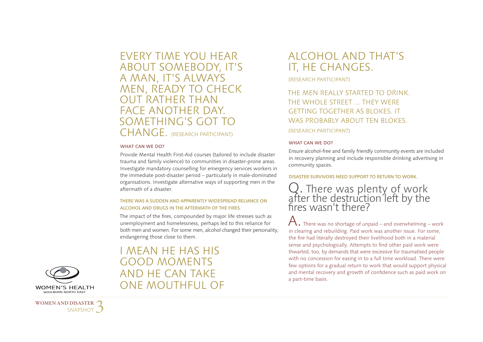EVERY TIME YOU HEAR ABOUT SOMEBODY, IT'S A MAN, IT'S ALWAYS MEN, READY TO CHECK OUT RATHER THAN FACE ANOTHER DAY. SOMETHING'S GOT TO CHANGE. (RESEARCH PARTICIPANT)

#### WHAT CAN WE DO?

Provide Mental Health First-Aid courses (tailored to include disaster trauma and family violence) to communities in disaster-prone areas. Investigate mandatory counselling for emergency services workers in the immediate post-disaster period – particularly in male-dominated organisations. Investigate alternative ways of supporting men in the aftermath of a disaster.

#### THERE WAS A SUDDEN AND APPARENTLY WIDESPREAD RELIANCE ON ALCOHOL AND DRUGS IN THE AFTERMATH OF THE FIRES.

The impact of the fires, compounded by major life stresses such as unemployment and homelessness, perhaps led to this reliance for both men and women. For some men, alcohol changed their personality, endangering those close to them.

I MEAN HE HAS HIS GOOD MOMENTS AND HE CAN TAKE ONE MOUTHFUL OF

## ALCOHOL AND THAT'S IT, HE CHANGES.

(RESEARCH PARTICIPANT)

### THE MEN REALLY STARTED TO DRINK. THE WHOLE STREET ... THEY WERE GETTING TOGETHER AS BLOKES. IT WAS PROBABLY ABOUT TEN BLOKES. (RESEARCH PARTICIPANT)

#### WHAT CAN WE DO?

Ensure alcohol-free and family friendly community events are included in recovery planning and include responsible drinking advertising in community spaces.

#### DISASTER SURVIVORS NEED SUPPORT TO RETURN TO WORK.

Q. There was plenty of work<br>after the destruction left by the fires wasn't there?

 $\bigwedge$  There was no shortage of unpaid – and overwhelming – work in clearing and rebuilding. Paid work was another issue. For some, the fire had literally destroyed their livelihood both in a material sense and psychologically. Attempts to find other paid work were thwarted, too, by demands that were excessive for traumatised people with no concession for easing in to a full time workload. There were few options for a gradual return to work that would support physical and mental recovery and growth of confidence such as paid work on a part-time basis.